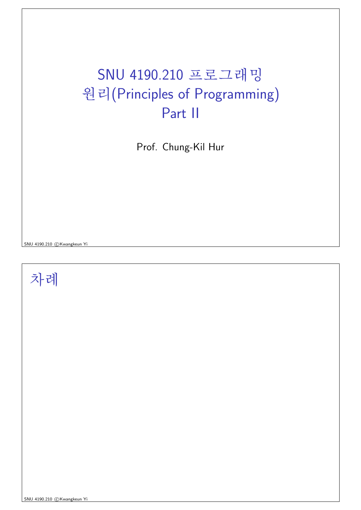#### SNU 4190.210 프로그래밍 원리(Principles of Programming) Part II

Prof. Chung-Kil Hur

SNU 4190.210 CKwangkeun Yi

차례

SNU 4190.210 CKwangkeun Yi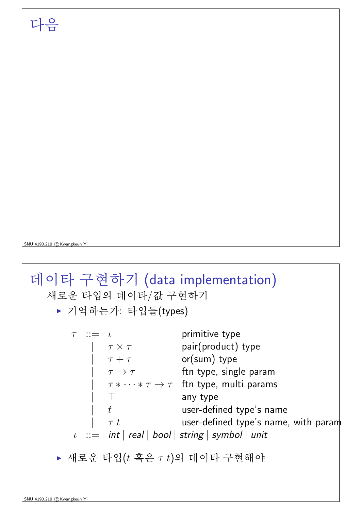SNU 4190.210 C Kwangkeun Y

데이타 구현하기 (data implementation) 새로운 타입의 데이타/값 구현하기 ▶ 기억하는가: 타입들(types)  $\tau$  ::=  $\iota$  primitive type<br>  $\begin{array}{ccc}\n\tau & \leftarrow & \tau & \text{pair}(\text{product}) \text{ type} \\
\tau & \leftarrow & \tau + \tau & \text{or}(\text{sum}) \text{ type} \\
\tau & \rightarrow & \tau & \text{ftn type, single param}\n\end{array}$  $\tau * \cdots * \tau \to \tau$  ftn type, multi params  $\top$ any type  $t$ user-defined type's name  $\tau t$ user-defined type's name, with param  $\iota$  := int | real | bool | string | symbol | unit ▶ 새로운 타입 $(t$  혹은  $\tau$   $t$ )의 데이타 구현해야

#### 다음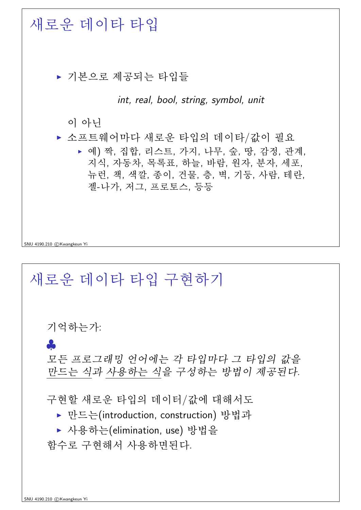

# 새로운 데이타 타입 구현하기 기억하는가: 8 모든 프로그래밍 언어에는 각 타입마다 그 타입의 값을 만드는 식과 사용하는 식을 구성하는 방법이 제공된다. 구현할 새로운 타입의 데이터/값에 대해서도 ▶ 만드는(introduction, construction) 방법과 ▶ 사용하는(elimination, use) 방법을 함수로 구현해서 사용하면된다.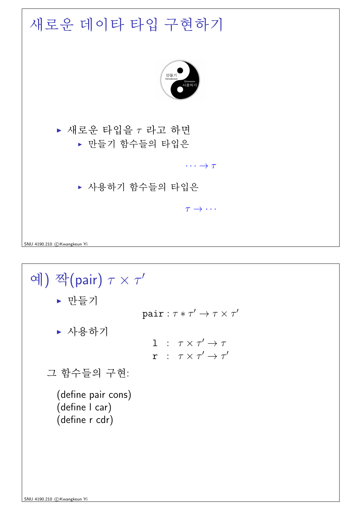

▶ 만들기

pair:  $\tau * \tau' \rightarrow \tau \times \tau'$ 

▶ 사용하기

```
1 : \tau \times \tau' \rightarrow \taur : \tau \times \tau' \rightarrow \tau'
```

```
그 함수들의 구현:
```
(define pair cons) (define I car) (define r cdr)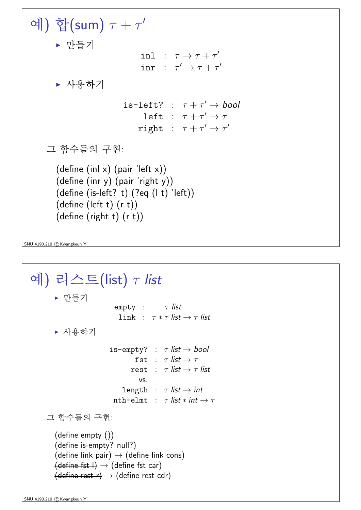예) 합(sum)  $\tau + \tau'$  $\blacktriangleright$  만들기 inl :  $\tau \rightarrow \tau + \tau'$ inr :  $\tau' \rightarrow \tau + \tau'$ ▶ 사용하기 is-left? :  $\tau + \tau' \rightarrow bool$ left :  $\tau + \tau' \rightarrow \tau$ right :  $\tau + \tau' \rightarrow \tau'$ 그 함수들의 구현: (define (inl x) (pair 'left x)) (define (inr y) (pair 'right y))  $(detine (is-left? t) (?eq (l t) 'left))$ (define (left t) (r t)) (define (right t) (r t))

SNU 4190.210 C Kwangkeun Yi

```
예) 리스트(list) \tau list
         \blacktriangleright 만들기
                                empty: \tau list
                                 link : \tau * \tau list \rightarrow \tau list
         ▶ 사용하기
                              is-empty? : \tau list \rightarrow bool
                                       fst : \tau list \rightarrow \taurest : \tau list \rightarrow \tau list
                                         vs.
                                   length : \tau list \rightarrow int
                               nth-elmt : \tau list * int \to \tau그 함수들의 구현:
         (define empty ())
         (define is-empty? null?)
         {define link pair} \rightarrow {define link on s}\overline{\text{(define fat I)}} \rightarrow \text{(define fat can)}\text{(define rest r)} \rightarrow \text{(define rest cdr)}
```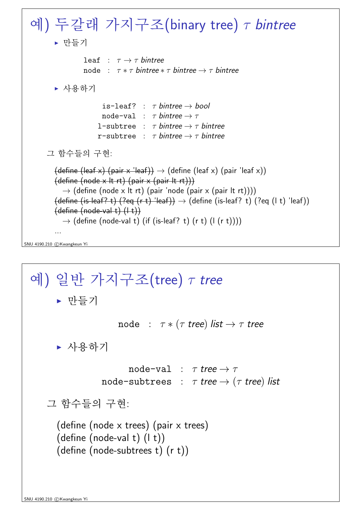SNU 4190.210 c Kwangkeun Yi \V) ¿º°úA t½¨¸(binary tree) τ bintree <sup>I</sup> ëß[þtl leaf : τ → τ bintree node : τ ∗ τ bintree ∗ τ bintree → τ bintree <sup>I</sup> 6 xl is-leaf? : τ bintree → bool node-val : τ bintree → τ l-subtree : τ bintree → τ bintree r-subtree : τ bintree → τ bintree Õª <Êú[þt\_ ½¨&³: (define (leaf x) (pair x 'leaf)) → (define (leaf x) (pair 'leaf x)) (define (node x lt rt) (pair x (pair lt rt))) → (define (node x lt rt) (pair 'node (pair x (pair lt rt)))) (define (is-leaf? t) (?eq (r t) 'leaf)) → (define (is-leaf? t) (?eq (l t) 'leaf)) (define (node-val t) (l t)) → (define (node-val t) (if (is-leaf? t) (r t) (l (r t)))) ...

\V) {9ìøÍ t½¨¸(tree) τ tree <sup>I</sup> ëß[þtl node : τ ∗ (τ tree) list → τ tree <sup>I</sup> 6 xl node-val : τ tree → τ node-subtrees : τ tree → (τ tree) list Õª < Êú[þt\_ ½¨&³: (define (node x trees) (pair x trees) (define (node-val t) (l t)) (define (node-subtrees t) (r t))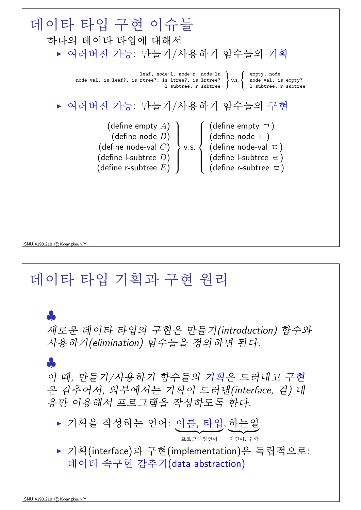

#### 데이타 타입 기획과 구현 원리

새로운 데이타 타입의 구현은 만들기(introduction) 함수와 사용하기(elimination) 함수들을 정의하면 된다.

이 때, 만들기/사용하기 함수들의 기획은 드러내고 구현 은 감추어서, 외부에서는 기획이 드러낸(interface, 겉) 내 용만 이용해서 프로그램을 작성하도록 하다.

- ▶ 기획을 작성하는 언어: 이름, 타입, 하는일 프로그래밍언어 자연어, 수학
- ▶ 기획(interface)과 구현(implementation)은 독립적으로: 데이터 속구현 감추기(data abstraction)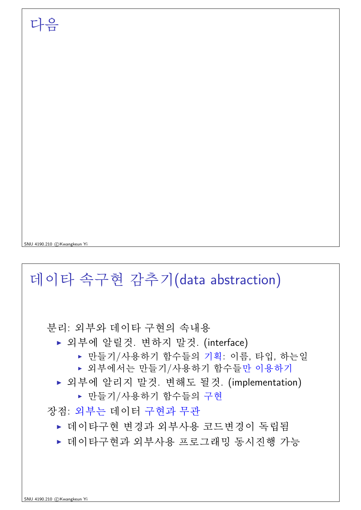SNU 4190.210 CKwangkeun Yi

다음

### 데이타 속구현 감추기(data abstraction)

분리: 외부와 데이타 구현의 속내용

- ▶ 외부에 알릴것. 변하지 말것. (interface)
	- ▶ 만들기/사용하기 함수들의 기획: 이름, 타입, 하는일
	- ▶ 외부에서는 만들기/사용하기 함수들만 이용하기
- ▶ 외부에 알리지 말것. 변해도 될것. (implementation)
	- ▶ 만들기/사용하기 함수들의 구현

장점: 외부는 데이터 구현과 무관

- ▶ 데이타구현 변경과 외부사용 코드변경이 독립됨
- ▶ 데이타구현과 외부사용 프로그래밍 동시진행 가능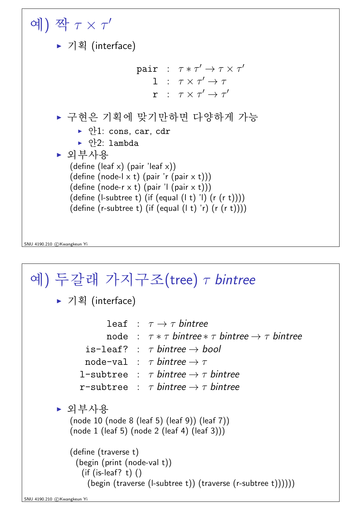

SNU 4190.210 CKwangkeun Y

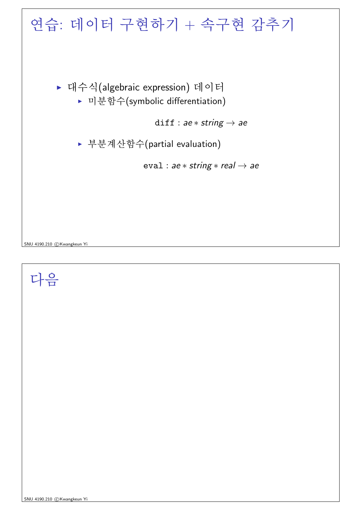

#### 다음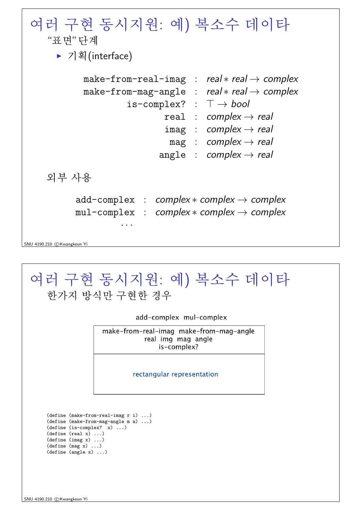| 여러 구현 동시지원: 예) 복소수 데이타<br>"표면"다계<br>▶ 기획(interface)                                                                                                                                                                                                                                                                 |
|---------------------------------------------------------------------------------------------------------------------------------------------------------------------------------------------------------------------------------------------------------------------------------------------------------------------|
| make-from-real-imag : real $*$ real $\rightarrow$ complex<br>make-from-mag-angle : real $*$ real $\rightarrow$ complex<br>is-complex? : $\top \rightarrow bool$<br>real : complex $\rightarrow$ real<br>$imag : complex \rightarrow real$<br>mag : complex $\rightarrow$ real<br>angle : complex $\rightarrow$ real |
| 외부 사용                                                                                                                                                                                                                                                                                                               |
| $add-complex : complex * complex \rightarrow complex$<br>$mul$ -complex : complex $*$ complex $\rightarrow$ complex<br>SNU 4190.210 (C) Kwangkeun Yi                                                                                                                                                                |
|                                                                                                                                                                                                                                                                                                                     |

|                                                                                                                                    | 여러 구현 동시지원: 예) 복소수 데이타<br>한가지 방식만 구현한 경우                                     |
|------------------------------------------------------------------------------------------------------------------------------------|------------------------------------------------------------------------------|
|                                                                                                                                    | add-complex mul-complex                                                      |
|                                                                                                                                    | make-from-real-imag make-from-mag-angle<br>real img mag angle<br>is-complex? |
|                                                                                                                                    | rectangular representation                                                   |
| $(define (is-complex? x) )$<br>(detine (real x) )<br>(detine (imag x) )<br>$(\text{define } (mag x) \dots)$<br>(detine (angle x) ) | $(detine (make-from-real-imag r i) )$<br>(define (make-from-mag-angle m a) ) |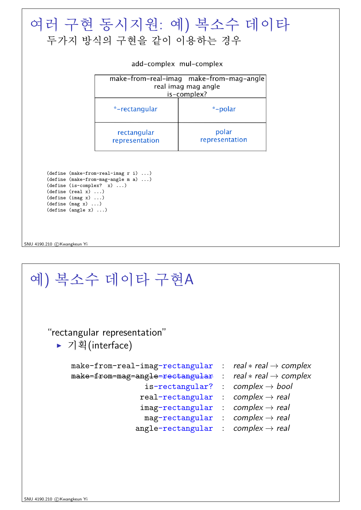| add-complex mul-complex<br>make-from-real-imag make-from-mag-angle<br>real imag mag angle<br>is-complex?<br>*-polar<br>*-rectangular<br>polar<br>rectangular<br>representation<br>representation      |
|-------------------------------------------------------------------------------------------------------------------------------------------------------------------------------------------------------|
|                                                                                                                                                                                                       |
|                                                                                                                                                                                                       |
|                                                                                                                                                                                                       |
|                                                                                                                                                                                                       |
| $(detine (make-from-real-imag r i) )$<br>$(detine (make-from-mag-angle m a) )$<br>$(define (is-complex? x) )$<br>(detine (real x) )<br>(detine (imag x) )<br>(detine (mag x) )<br>(detine (angle x) ) |

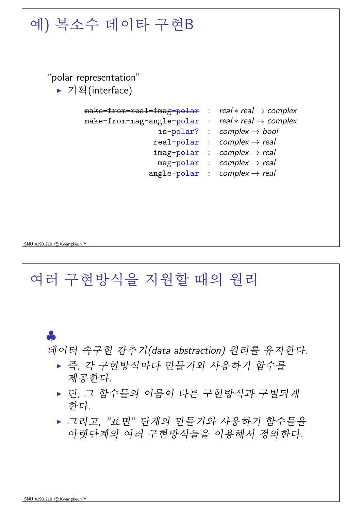

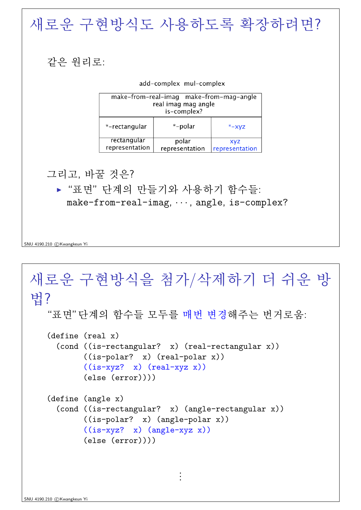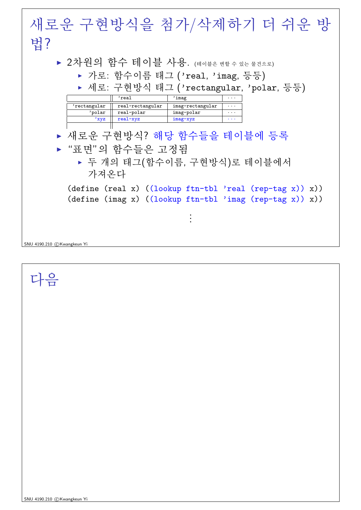

다음